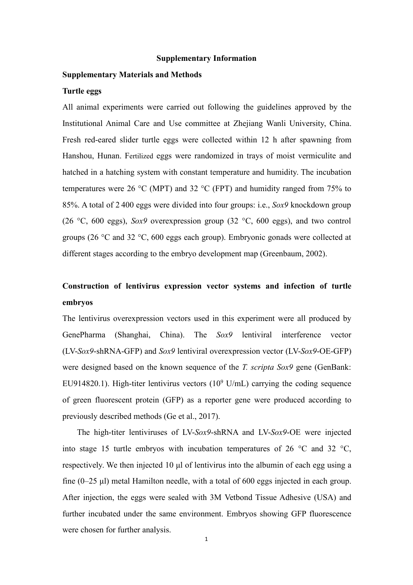#### **Supplementary Information**

## **Supplementary Materials and Methods**

#### **Turtle eggs**

All animal experiments were carried out following the guidelines approved by the Institutional Animal Care and Use committee at Zhejiang Wanli University, China. Fresh red-eared slider turtle eggs were collected within 12 h after spawning from Hanshou, Hunan. Fertilized eggs were randomized in trays of moist vermiculite and hatched in a hatching system with constant temperature and humidity. The incubation temperatures were 26 °C (MPT) and 32 °C (FPT) and humidity ranged from 75% to 85%. A total of 2 400 eggswere divided into four groups: i.e., *Sox9* knockdown group (26 °C, 600 eggs), *Sox9* overexpression group (32 °C, 600 eggs), and two control groups (26 °C and 32 °C, 600 eggs each group). Embryonic gonads were collected at different stages according to the embryo development map (Greenbaum, 2002).

# **Construction of lentivirus expression vector systems and infection of turtle embryos**

The lentivirus overexpression vectors used in this experiment were all produced by GenePharma (Shanghai, China). The *Sox9* lentiviral interference vector (LV-*Sox9*-shRNA-GFP) and *Sox9* lentiviral overexpression vector (LV-*Sox9*-OE-GFP) were designed based on the known sequence of the *T. scripta Sox9* gene (GenBank: EU914820.1). High-titer lentivirus vectors (10 <sup>9</sup> U/mL) carrying the coding sequence of green fluorescent protein (GFP) as a reporter gene were produced according to previously described methods (Ge et al., 2017).

The high-titer lentiviruses of LV-*Sox9*-shRNA and LV-*Sox9*-OE were injected into stage 15 turtle embryos with incubation temperatures of 26 °C and 32 °C, respectively. We then injected 10 μl of lentivirus into the albumin of each egg using a fine  $(0-25 \mu l)$  metal Hamilton needle, with a total of 600 eggs injected in each group. After injection, the eggs were sealed with 3M Vetbond Tissue Adhesive (USA) and further incubated under the same environment. Embryos showing GFP fluorescence were chosen for further analysis.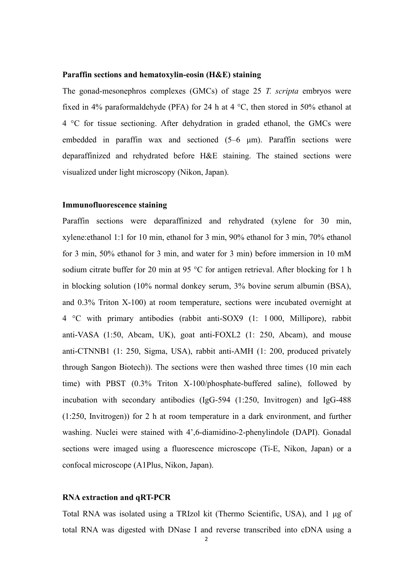#### **Paraffin sections and hematoxylin-eosin (H&E) staining**

The gonad-mesonephros complexes (GMCs) of stage 25 *T. scripta* embryos were fixed in 4% paraformaldehyde (PFA) for 24 h at 4 °C, then stored in 50% ethanol at 4 °C for tissue sectioning. After dehydration in graded ethanol, the GMCs were embedded in paraffin wax and sectioned (5–6 μm). Paraffin sections were deparaffinized and rehydrated before H&E staining. The stained sections were visualized under light microscopy (Nikon, Japan).

### **Immunofluorescence staining**

Paraffin sections were deparaffinized and rehydrated (xylene for 30 min, xylene:ethanol 1:1 for 10 min, ethanol for 3 min, 90% ethanol for 3 min, 70% ethanol for 3 min, 50% ethanol for 3 min, and water for 3 min) before immersion in 10 mM sodium citrate buffer for 20 min at 95 °C for antigen retrieval. After blocking for 1 h in blocking solution (10% normal donkey serum, 3% bovine serum albumin (BSA), and  $0.3\%$  Triton X-100) at room temperature, sections were incubated overnight at 4 °C with primary antibodies (rabbit anti-SOX9 (1: 1 000, Millipore), rabbit anti-VASA (1:50, Abcam, UK), goat anti-FOXL2 (1: 250, Abcam), and mouse anti-CTNNB1 (1: 250, Sigma, USA), rabbit anti-AMH (1: 200, produced privately through Sangon Biotech)). The sections were then washed three times (10 min each time) with PBST (0.3% Triton X-100/phosphate-buffered saline), followed by incubation with secondary antibodies (IgG-594 (1:250, Invitrogen) and IgG-488 (1:250, Invitrogen)) for 2 h at room temperature in a dark environment, and further washing. Nuclei were stained with 4',6-diamidino-2-phenylindole (DAPI). Gonadal sections were imaged using a fluorescence microscope (Ti-E, Nikon, Japan) or a confocal microscope (A1Plus, Nikon, Japan).

## **RNA extraction and qRT-PCR**

Total RNA was isolated using a TRIzol kit (Thermo Scientific, USA), and 1 μg of total RNA was digested with DNase I and reverse transcribed into cDNA using a